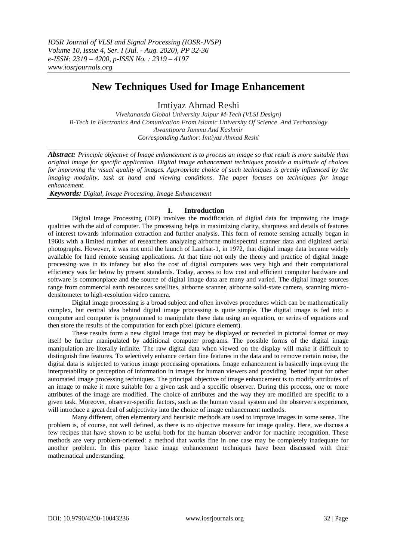# **New Techniques Used for Image Enhancement**

Imtiyaz Ahmad Reshi

*Vivekananda Global University Jaipur M-Tech (VLSI Design) B-Tech In Electronics And Comunication From Islamic University Of Science And Techonology Awantipora Jammu And Kashmir Corresponding Author: Imtiyaz Ahmad Reshi*

*Abstract: Principle objective of Image enhancement is to process an image so that result is more suitable than original image for specific application. Digital image enhancement techniques provide a multitude of choices for improving the visual quality of images. Appropriate choice of such techniques is greatly influenced by the imaging modality, task at hand and viewing conditions. The paper focuses on techniques for image enhancement.*

*Keywords: Digital, Image Processing, Image Enhancement*

# **I. Introduction**

Digital Image Processing (DIP) involves the modification of digital data for improving the image qualities with the aid of computer. The processing helps in maximizing clarity, sharpness and details of features of interest towards information extraction and further analysis. This form of remote sensing actually began in 1960s with a limited number of researchers analyzing airborne multispectral scanner data and digitized aerial photographs. However, it was not until the launch of Landsat-1, in 1972, that digital image data became widely available for land remote sensing applications. At that time not only the theory and practice of digital image processing was in its infancy but also the cost of digital computers was very high and their computational efficiency was far below by present standards. Today, access to low cost and efficient computer hardware and software is commonplace and the source of digital image data are many and varied. The digital image sources range from commercial earth resources satellites, airborne scanner, airborne solid-state camera, scanning microdensitometer to high-resolution video camera.

Digital image processing is a broad subject and often involves procedures which can be mathematically complex, but central idea behind digital image processing is quite simple. The digital image is fed into a computer and computer is programmed to manipulate these data using an equation, or series of equations and then store the results of the computation for each pixel (picture element).

These results form a new digital image that may be displayed or recorded in pictorial format or may itself be further manipulated by additional computer programs. The possible forms of the digital image manipulation are literally infinite. The raw digital data when viewed on the display will make it difficult to distinguish fine features. To selectively enhance certain fine features in the data and to remove certain noise, the digital data is subjected to various image processing operations. Image enhancement is basically improving the interpretability or perception of information in images for human viewers and providing `better' input for other automated image processing techniques. The principal objective of image enhancement is to modify attributes of an image to make it more suitable for a given task and a specific observer. During this process, one or more attributes of the image are modified. The choice of attributes and the way they are modified are specific to a given task. Moreover, observer-specific factors, such as the human visual system and the observer's experience, will introduce a great deal of subjectivity into the choice of image enhancement methods.

Many different, often elementary and heuristic methods are used to improve images in some sense. The problem is, of course, not well defined, as there is no objective measure for image quality. Here, we discuss a few recipes that have shown to be useful both for the human observer and/or for machine recognition. These methods are very problem-oriented: a method that works fine in one case may be completely inadequate for another problem. In this paper basic image enhancement techniques have been discussed with their mathematical understanding.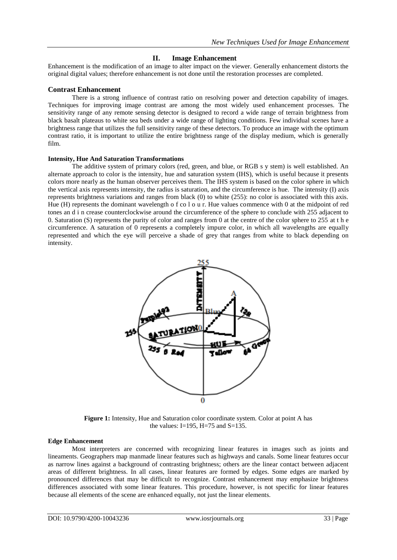# **II. Image Enhancement**

Enhancement is the modification of an image to alter impact on the viewer. Generally enhancement distorts the original digital values; therefore enhancement is not done until the restoration processes are completed.

# **Contrast Enhancement**

There is a strong influence of contrast ratio on resolving power and detection capability of images. Techniques for improving image contrast are among the most widely used enhancement processes. The sensitivity range of any remote sensing detector is designed to record a wide range of terrain brightness from black basalt plateaus to white sea beds under a wide range of lighting conditions. Few individual scenes have a brightness range that utilizes the full sensitivity range of these detectors. To produce an image with the optimum contrast ratio, it is important to utilize the entire brightness range of the display medium, which is generally film.

# **Intensity, Hue And Saturation Transformations**

The additive system of primary colors (red, green, and blue, or RGB s y stem) is well established. An alternate approach to color is the intensity, hue and saturation system (IHS), which is useful because it presents colors more nearly as the human observer perceives them. The IHS system is based on the color sphere in which the vertical axis represents intensity, the radius is saturation, and the circumference is hue. The intensity (I) axis represents brightness variations and ranges from black (0) to white (255): no color is associated with this axis. Hue (H) represents the dominant wavelength o f co l o u r. Hue values commence with 0 at the midpoint of red tones an d i n crease counterclockwise around the circumference of the sphere to conclude with 255 adjacent to 0. Saturation (S) represents the purity of color and ranges from 0 at the centre of the color sphere to 255 at t h e circumference. A saturation of 0 represents a completely impure color, in which all wavelengths are equally represented and which the eye will perceive a shade of grey that ranges from white to black depending on intensity.



**Figure 1:** Intensity, Hue and Saturation color coordinate system. Color at point A has the values: I=195, H=75 and S=135.

#### **Edge Enhancement**

Most interpreters are concerned with recognizing linear features in images such as joints and lineaments. Geographers map manmade linear features such as highways and canals. Some linear features occur as narrow lines against a background of contrasting brightness; others are the linear contact between adjacent areas of different brightness. In all cases, linear features are formed by edges. Some edges are marked by pronounced differences that may be difficult to recognize. Contrast enhancement may emphasize brightness differences associated with some linear features. This procedure, however, is not specific for linear features because all elements of the scene are enhanced equally, not just the linear elements.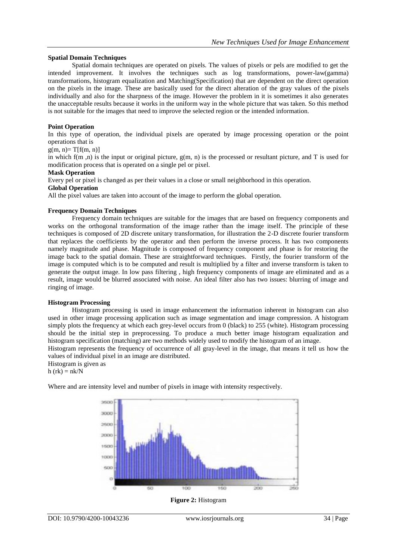# **Spatial Domain Techniques**

Spatial domain techniques are operated on pixels. The values of pixels or pels are modified to get the intended improvement. It involves the techniques such as log transformations, power-law(gamma) transformations, histogram equalization and Matching(Specification) that are dependent on the direct operation on the pixels in the image. These are basically used for the direct alteration of the gray values of the pixels individually and also for the sharpness of the image. However the problem in it is sometimes it also generates the unacceptable results because it works in the uniform way in the whole picture that was taken. So this method is not suitable for the images that need to improve the selected region or the intended information.

# **Point Operation**

In this type of operation, the individual pixels are operated by image processing operation or the point operations that is

#### $g(m, n)=T[f(m, n)]$

in which  $f(m, n)$  is the input or original picture,  $g(m, n)$  is the processed or resultant picture, and T is used for modification process that is operated on a single pel or pixel.

## **Mask Operation**

Every pel or pixel is changed as per their values in a close or small neighborhood in this operation.

#### **Global Operation**

All the pixel values are taken into account of the image to perform the global operation.

## **Frequency Domain Techniques**

Frequency domain techniques are suitable for the images that are based on frequency components and works on the orthogonal transformation of the image rather than the image itself. The principle of these techniques is composed of 2D discrete unitary transformation, for illustration the 2-D discrete fourier transform that replaces the coefficients by the operator and then perform the inverse process. It has two components namely magnitude and phase. Magnitude is composed of frequency component and phase is for restoring the image back to the spatial domain. These are straightforward techniques. Firstly, the fourier transform of the image is computed which is to be computed and result is multiplied by a filter and inverse transform is taken to generate the output image. In low pass filtering , high frequency components of image are eliminated and as a result, image would be blurred associated with noise. An ideal filter also has two issues: blurring of image and ringing of image.

## **Histogram Processing**

Histogram processing is used in image enhancement the information inherent in histogram can also used in other image processing application such as image segmentation and image compression. A histogram simply plots the frequency at which each grey-level occurs from 0 (black) to 255 (white). Histogram processing should be the initial step in preprocessing. To produce a much better image histogram equalization and histogram specification (matching) are two methods widely used to modify the histogram of an image.

Histogram represents the frequency of occurrence of all gray-level in the image, that means it tell us how the values of individual pixel in an image are distributed.

Histogram is given as

 $h$  (rk) =  $nk/N$ 

Where and are intensity level and number of pixels in image with intensity respectively.



**Figure 2:** Histogram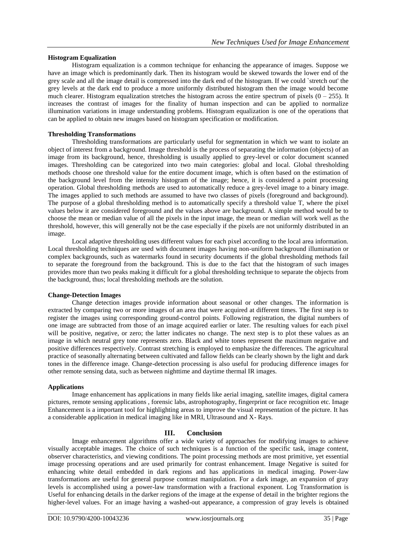# **Histogram Equalization**

Histogram equalization is a common technique for enhancing the appearance of images. Suppose we have an image which is predominantly dark. Then its histogram would be skewed towards the lower end of the grey scale and all the image detail is compressed into the dark end of the histogram. If we could `stretch out' the grey levels at the dark end to produce a more uniformly distributed histogram then the image would become much clearer. Histogram equalization stretches the histogram across the entire spectrum of pixels  $(0 - 255)$ . It increases the contrast of images for the finality of human inspection and can be applied to normalize illumination variations in image understanding problems. Histogram equalization is one of the operations that can be applied to obtain new images based on histogram specification or modification.

# **Thresholding Transformations**

Thresholding transformations are particularly useful for segmentation in which we want to isolate an object of interest from a background. Image threshold is the process of separating the information (objects) of an image from its background, hence, thresholding is usually applied to grey-level or color document scanned images. Thresholding can be categorized into two main categories: global and local. Global thresholding methods choose one threshold value for the entire document image, which is often based on the estimation of the background level from the intensity histogram of the image; hence, it is considered a point processing operation. Global thresholding methods are used to automatically reduce a grey-level image to a binary image. The images applied to such methods are assumed to have two classes of pixels (foreground and background). The purpose of a global thresholding method is to automatically specify a threshold value T, where the pixel values below it are considered foreground and the values above are background. A simple method would be to choose the mean or median value of all the pixels in the input image, the mean or median will work well as the threshold, however, this will generally not be the case especially if the pixels are not uniformly distributed in an image.

Local adaptive thresholding uses different values for each pixel according to the local area information. Local thresholding techniques are used with document images having non-uniform background illumination or complex backgrounds, such as watermarks found in security documents if the global thresholding methods fail to separate the foreground from the background. This is due to the fact that the histogram of such images provides more than two peaks making it difficult for a global thresholding technique to separate the objects from the background, thus; local thresholding methods are the solution.

## **Change-Detection Images**

Change detection images provide information about seasonal or other changes. The information is extracted by comparing two or more images of an area that were acquired at different times. The first step is to register the images using corresponding ground-control points. Following registration, the digital numbers of one image are subtracted from those of an image acquired earlier or later. The resulting values for each pixel will be positive, negative, or zero; the latter indicates no change. The next step is to plot these values as an image in which neutral grey tone represents zero. Black and white tones represent the maximum negative and positive differences respectively. Contrast stretching is employed to emphasize the differences. The agricultural practice of seasonally alternating between cultivated and fallow fields can be clearly shown by the light and dark tones in the difference image. Change-detection processing is also useful for producing difference images for other remote sensing data, such as between nighttime and daytime thermal IR images.

## **Applications**

Image enhancement has applications in many fields like aerial imaging, satellite images, digital camera pictures, remote sensing applications , forensic labs, astrophotography, fingerprint or face recognition etc. Image Enhancement is a important tool for highlighting areas to improve the visual representation of the picture. It has a considerable application in medical imaging like in MRI, Ultrasound and X- Rays.

# **III. Conclusion**

Image enhancement algorithms offer a wide variety of approaches for modifying images to achieve visually acceptable images. The choice of such techniques is a function of the specific task, image content, observer characteristics, and viewing conditions. The point processing methods are most primitive, yet essential image processing operations and are used primarily for contrast enhancement. Image Negative is suited for enhancing white detail embedded in dark regions and has applications in medical imaging. Power-law transformations are useful for general purpose contrast manipulation. For a dark image, an expansion of gray levels is accomplished using a power-law transformation with a fractional exponent. Log Transformation is Useful for enhancing details in the darker regions of the image at the expense of detail in the brighter regions the higher-level values. For an image having a washed-out appearance, a compression of gray levels is obtained